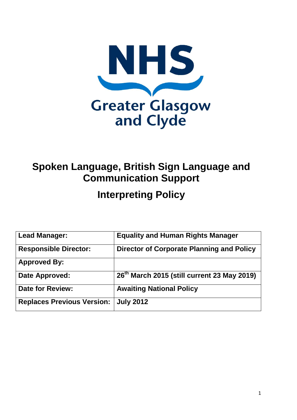

# **Spoken Language, British Sign Language and Communication Support**

# **Interpreting Policy**

| <b>Lead Manager:</b>              | <b>Equality and Human Rights Manager</b>                |
|-----------------------------------|---------------------------------------------------------|
| <b>Responsible Director:</b>      | <b>Director of Corporate Planning and Policy</b>        |
| <b>Approved By:</b>               |                                                         |
| Date Approved:                    | 26 <sup>th</sup> March 2015 (still current 23 May 2019) |
| <b>Date for Review:</b>           | <b>Awaiting National Policy</b>                         |
| <b>Replaces Previous Version:</b> | <b>July 2012</b>                                        |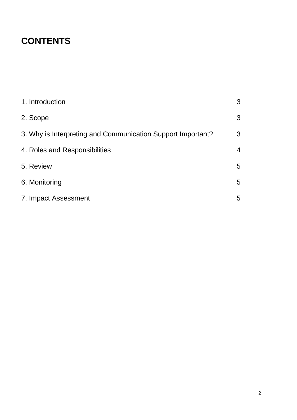## **CONTENTS**

| 1. Introduction                                             | 3              |
|-------------------------------------------------------------|----------------|
| 2. Scope                                                    | 3              |
| 3. Why is Interpreting and Communication Support Important? | 3              |
| 4. Roles and Responsibilities                               | $\overline{4}$ |
| 5. Review                                                   | 5              |
| 6. Monitoring                                               | 5              |
| 7. Impact Assessment                                        | 5              |
|                                                             |                |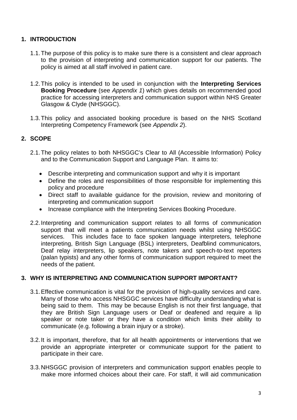#### **1. INTRODUCTION**

- 1.1.The purpose of this policy is to make sure there is a consistent and clear approach to the provision of interpreting and communication support for our patients. The policy is aimed at all staff involved in patient care.
- 1.2.This policy is intended to be used in conjunction with the **Interpreting Services Booking Procedure** (see *Appendix 1*) which gives details on recommended good practice for accessing interpreters and communication support within NHS Greater Glasgow & Clyde (NHSGGC).
- 1.3.This policy and associated booking procedure is based on the NHS Scotland Interpreting Competency Framework (see *Appendix 2*).

#### **2. SCOPE**

- 2.1.The policy relates to both NHSGGC's Clear to All (Accessible Information) Policy and to the Communication Support and Language Plan. It aims to:
	- Describe interpreting and communication support and why it is important
	- Define the roles and responsibilities of those responsible for implementing this policy and procedure
	- Direct staff to available guidance for the provision, review and monitoring of interpreting and communication support
	- Increase compliance with the Interpreting Services Booking Procedure.
- 2.2.Interpreting and communication support relates to all forms of communication support that will meet a patients communication needs whilst using NHSGGC services. This includes face to face spoken language interpreters, telephone interpreting, British Sign Language (BSL) interpreters, Deafblind communicators, Deaf relay interpreters, lip speakers, note takers and speech-to-text reporters (palan typists) and any other forms of communication support required to meet the needs of the patient.

#### **3. WHY IS INTERPRETING AND COMMUNICATION SUPPORT IMPORTANT?**

- 3.1.Effective communication is vital for the provision of high-quality services and care. Many of those who access NHSGGC services have difficulty understanding what is being said to them. This may be because English is not their first language, that they are British Sign Language users or Deaf or deafened and require a lip speaker or note taker or they have a condition which limits their ability to communicate (e.g. following a brain injury or a stroke).
- 3.2.It is important, therefore, that for all health appointments or interventions that we provide an appropriate interpreter or communicate support for the patient to participate in their care.
- 3.3.NHSGGC provision of interpreters and communication support enables people to make more informed choices about their care. For staff, it will aid communication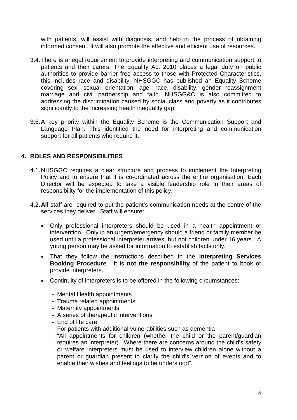with patients, will assist with diagnosis, and help in the process of obtaining informed consent. It will also promote the effective and efficient use of resources.

- 3.4.There is a legal requirement to provide interpreting and communication support to patients and their carers. The Equality Act 2010 places a legal duty on public authorities to provide barrier free access to those with Protected Characteristics, this includes race and disability. NHSGGC has published an Equality Scheme covering sex, sexual orientation, age, race, disability, gender reassignment marriage and civil partnership and faith. NHSGG&C is also committed to addressing the discrimination caused by social class and poverty as it contributes significantly to the increasing health inequality gap.
- 3.5.A key priority within the Equality Scheme is the Communication Support and Language Plan. This identified the need for interpreting and communication support for all patients who require it.

#### **4. ROLES AND RESPONSIBILITIES**

- 4.1.NHSGGC requires a clear structure and process to implement the Interpreting Policy and to ensure that it is co-ordinated across the entire organisation. Each Director will be expected to take a visible leadership role in their areas of responsibility for the implementation of this policy.
- 4.2.**All** staff are required to put the patient's communication needs at the centre of the services they deliver. Staff will ensure:
	- Only professional interpreters should be used in a health appointment or intervention. Only in an urgent/emergency should a friend or family member be used until a professional interpreter arrives, but not children under 16 years. A young person may be asked for information to establish facts only.
	- That they follow the instructions described in the **Interpreting Services Booking Procedur**e. It is **not the responsibility** of the patient to book or provide interpreters.
	- Continuity of interpreters is to be offered in the following circumstances:
		- Mental Health appointments
		- Trauma related appointments
		- Maternity appointments
		- A series of therapeutic interventions
		- End of life care
		- For patients with additional vulnerabilities such as dementia
		- "All appointments for children (whether the child or the parent/guardian requires an interpreter). Where there are concerns around the child's safety or welfare interpreters must be used to interview children alone without a parent or guardian present to clarify the child's version of events and to enable their wishes and feelings to be understood".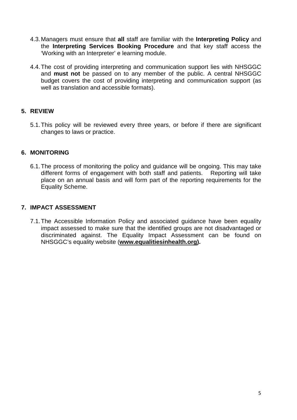- 4.3.Managers must ensure that **all** staff are familiar with the **Interpreting Policy** and the **Interpreting Services Booking Procedure** and that key staff access the 'Working with an Interpreter' e learning module.
- 4.4.The cost of providing interpreting and communication support lies with NHSGGC and **must not** be passed on to any member of the public. A central NHSGGC budget covers the cost of providing interpreting and communication support (as well as translation and accessible formats).

#### **5. REVIEW**

5.1.This policy will be reviewed every three years, or before if there are significant changes to laws or practice.

#### **6. MONITORING**

6.1.The process of monitoring the policy and guidance will be ongoing. This may take different forms of engagement with both staff and patients. Reporting will take place on an annual basis and will form part of the reporting requirements for the Equality Scheme.

#### **7. IMPACT ASSESSMENT**

7.1.The Accessible Information Policy and associated guidance have been equality impact assessed to make sure that the identified groups are not disadvantaged or discriminated against. The Equality Impact Assessment can be found on NHSGGC's equality website (**[www.equalitiesinhealth.org\)](http://www.equalitiesinhealth.org/).**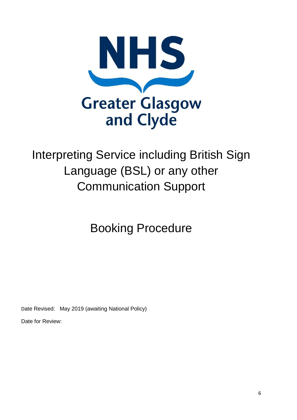

# Interpreting Service including British Sign Language (BSL) or any other Communication Support

Booking Procedure

Date Revised: May 2019 (awaiting National Policy)

Date for Review: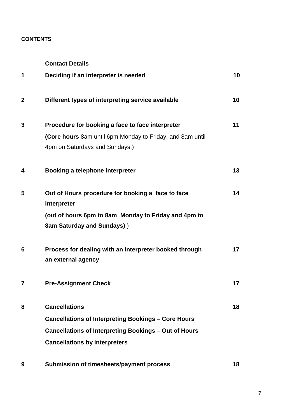#### **CONTENTS**

**Contact Details**

| 1              | Deciding if an interpreter is needed                                                                                                                                                | 10 |
|----------------|-------------------------------------------------------------------------------------------------------------------------------------------------------------------------------------|----|
| $\mathbf{2}$   | Different types of interpreting service available                                                                                                                                   | 10 |
| 3              | Procedure for booking a face to face interpreter<br>(Core hours 8am until 6pm Monday to Friday, and 8am until                                                                       | 11 |
|                | 4pm on Saturdays and Sundays.)                                                                                                                                                      |    |
| 4              | Booking a telephone interpreter                                                                                                                                                     | 13 |
| 5              | Out of Hours procedure for booking a face to face<br>interpreter                                                                                                                    | 14 |
|                | (out of hours 6pm to 8am Monday to Friday and 4pm to<br>8am Saturday and Sundays))                                                                                                  |    |
| 6              | Process for dealing with an interpreter booked through<br>an external agency                                                                                                        | 17 |
| $\overline{7}$ | <b>Pre-Assignment Check</b>                                                                                                                                                         | 17 |
| 8              | <b>Cancellations</b><br><b>Cancellations of Interpreting Bookings - Core Hours</b><br>Cancellations of Interpreting Bookings - Out of Hours<br><b>Cancellations by Interpreters</b> | 18 |
| 9              | Submission of timesheets/payment process                                                                                                                                            | 18 |

7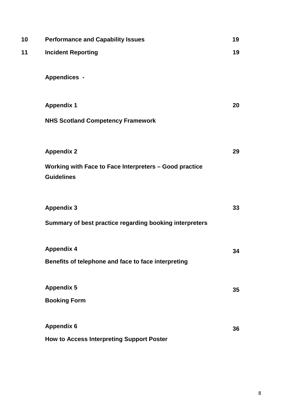| 10 | <b>Performance and Capability Issues</b>                                    | 19 |
|----|-----------------------------------------------------------------------------|----|
| 11 | <b>Incident Reporting</b>                                                   | 19 |
|    | <b>Appendices -</b>                                                         |    |
|    |                                                                             |    |
|    | <b>Appendix 1</b>                                                           | 20 |
|    | <b>NHS Scotland Competency Framework</b>                                    |    |
|    |                                                                             |    |
|    | <b>Appendix 2</b>                                                           | 29 |
|    | Working with Face to Face Interpreters - Good practice<br><b>Guidelines</b> |    |
|    |                                                                             |    |
|    | <b>Appendix 3</b>                                                           | 33 |
|    | Summary of best practice regarding booking interpreters                     |    |
|    | <b>Appendix 4</b>                                                           | 34 |
|    | Benefits of telephone and face to face interpreting                         |    |
|    | <b>Appendix 5</b>                                                           |    |
|    | <b>Booking Form</b>                                                         | 35 |
|    |                                                                             |    |
|    | <b>Appendix 6</b>                                                           | 36 |
|    | <b>How to Access Interpreting Support Poster</b>                            |    |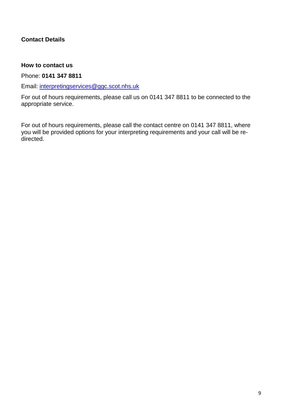#### **Contact Details**

#### **How to contact us**

Phone: **0141 347 8811**

Email: [interpretingservices@ggc.scot.nhs.uk](mailto:interpretingservices@ggc.scot.nhs.uk)

For out of hours requirements, please call us on 0141 347 8811 to be connected to the appropriate service.

For out of hours requirements, please call the contact centre on 0141 347 8811, where you will be provided options for your interpreting requirements and your call will be redirected.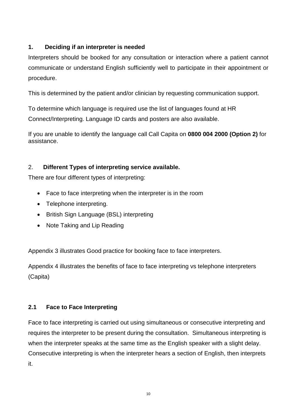#### **1. Deciding if an interpreter is needed**

Interpreters should be booked for any consultation or interaction where a patient cannot communicate or understand English sufficiently well to participate in their appointment or procedure.

This is determined by the patient and/or clinician by requesting communication support.

To determine which language is required use the list of languages found at HR Connect/Interpreting. Language ID cards and posters are also available.

If you are unable to identify the language call Call Capita on **0800 004 2000 (Option 2)** for assistance.

#### 2. **Different Types of interpreting service available.**

There are four different types of interpreting:

- Face to face interpreting when the interpreter is in the room
- Telephone interpreting.
- British Sign Language (BSL) interpreting
- Note Taking and Lip Reading

Appendix 3 illustrates Good practice for booking face to face interpreters.

Appendix 4 illustrates the benefits of face to face interpreting vs telephone interpreters (Capita)

#### **2.1 Face to Face Interpreting**

Face to face interpreting is carried out using simultaneous or consecutive interpreting and requires the interpreter to be present during the consultation. Simultaneous interpreting is when the interpreter speaks at the same time as the English speaker with a slight delay. Consecutive interpreting is when the interpreter hears a section of English, then interprets it.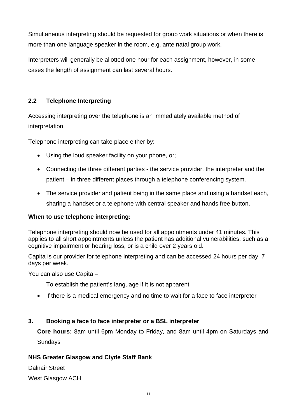Simultaneous interpreting should be requested for group work situations or when there is more than one language speaker in the room, e.g. ante natal group work.

Interpreters will generally be allotted one hour for each assignment, however, in some cases the length of assignment can last several hours.

#### **2.2 Telephone Interpreting**

Accessing interpreting over the telephone is an immediately available method of interpretation.

Telephone interpreting can take place either by:

- Using the loud speaker facility on your phone, or;
- Connecting the three different parties the service provider, the interpreter and the patient – in three different places through a telephone conferencing system.
- The service provider and patient being in the same place and using a handset each, sharing a handset or a telephone with central speaker and hands free button.

#### **When to use telephone interpreting:**

Telephone interpreting should now be used for all appointments under 41 minutes. This applies to all short appointments unless the patient has additional vulnerabilities, such as a cognitive impairment or hearing loss, or is a child over 2 years old.

Capita is our provider for telephone interpreting and can be accessed 24 hours per day, 7 days per week.

You can also use Capita –

To establish the patient's language if it is not apparent

• If there is a medical emergency and no time to wait for a face to face interpreter

#### **3. Booking a face to face interpreter or a BSL interpreter**

**Core hours:** 8am until 6pm Monday to Friday, and 8am until 4pm on Saturdays and Sundays

#### **NHS Greater Glasgow and Clyde Staff Bank**

Dalnair Street

West Glasgow ACH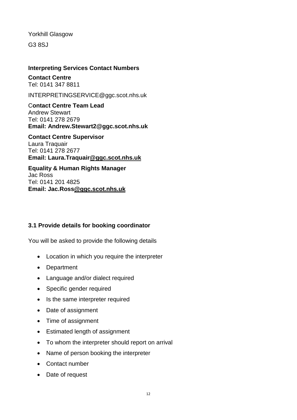Yorkhill Glasgow

G3 8SJ

#### **Interpreting Services Contact Numbers**

**Contact Centre** Tel: 0141 347 8811

INTERPRETINGSERVICE@ggc.scot.nhs.uk

C**ontact Centre Team Lead** Andrew Stewart Tel: 0141 278 2679 **Email: Andrew.Stewart2@ggc.scot.nhs.uk**

**Contact Centre Supervisor** Laura Traquair Tel: 0141 278 2677 **Email: Laura.Traquair@ggc.scot.nhs.uk**

**Equality & Human Rights Manager** Jac Ross Tel: 0141 201 4825 **Email: Jac.Ross@ggc.scot.nhs.uk**

#### **3.1 Provide details for booking coordinator**

You will be asked to provide the following details

- Location in which you require the interpreter
- Department
- Language and/or dialect required
- Specific gender required
- Is the same interpreter required
- Date of assignment
- Time of assignment
- Estimated length of assignment
- To whom the interpreter should report on arrival
- Name of person booking the interpreter
- Contact number
- Date of request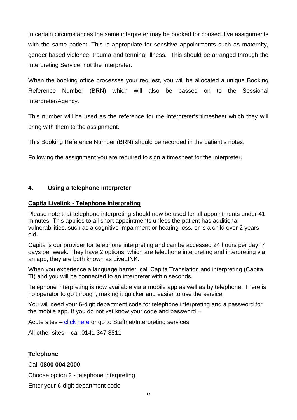In certain circumstances the same interpreter may be booked for consecutive assignments with the same patient. This is appropriate for sensitive appointments such as maternity, gender based violence, trauma and terminal illness. This should be arranged through the Interpreting Service, not the interpreter.

When the booking office processes your request, you will be allocated a unique Booking Reference Number (BRN) which will also be passed on to the Sessional Interpreter/Agency.

This number will be used as the reference for the interpreter's timesheet which they will bring with them to the assignment.

This Booking Reference Number (BRN) should be recorded in the patient's notes.

Following the assignment you are required to sign a timesheet for the interpreter.

#### **4. Using a telephone interpreter**

#### **Capita Livelink - Telephone Interpreting**

Please note that telephone interpreting should now be used for all appointments under 41 minutes. This applies to all short appointments unless the patient has additional vulnerabilities, such as a cognitive impairment or hearing loss, or is a child over 2 years old.

Capita is our provider for telephone interpreting and can be accessed 24 hours per day, 7 days per week. They have 2 options, which are telephone interpreting and interpreting via an app, they are both known as LiveLINK.

When you experience a language barrier, call Capita Translation and interpreting (Capita TI) and you will be connected to an interpreter within seconds.

Telephone interpreting is now available via a mobile app as well as by telephone. There is no operator to go through, making it quicker and easier to use the service.

You will need your 6-digit department code for telephone interpreting and a password for the mobile app. If you do not yet know your code and password –

Acute sites – [click here](http://www.staffnet.ggc.scot.nhs.uk/INFO%20CENTRE/INTERPRETINGSERVICES/Pages/InterpretingServices.aspx) or go to Staffnet/Interpreting services

All other sites – call 0141 347 8811

#### **Telephone**

#### Call **0800 004 2000**

Choose option 2 - telephone interpreting

Enter your 6-digit department code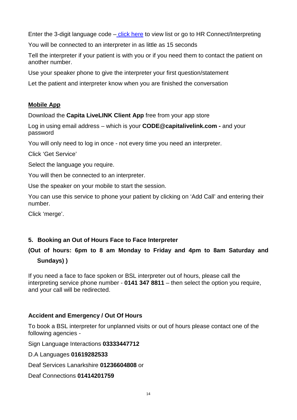Enter the 3-digit language code – [click here](https://healthequality.worldsecuresystems.com/Link-Files/capita-contact-number-and-language-codes%5B1%5D%5B1%5D.pdf) to view list or go to HR Connect/Interpreting

You will be connected to an interpreter in as little as 15 seconds

Tell the interpreter if your patient is with you or if you need them to contact the patient on another number.

Use your speaker phone to give the interpreter your first question/statement

Let the patient and interpreter know when you are finished the conversation

#### **Mobile App**

Download the **Capita LiveLINK Client App** free from your app store

Log in using email address – which is your **CODE@capitalivelink.com -** and your password

You will only need to log in once - not every time you need an interpreter.

Click 'Get Service'

Select the language you require.

You will then be connected to an interpreter.

Use the speaker on your mobile to start the session.

You can use this service to phone your patient by clicking on 'Add Call' and entering their number.

Click 'merge'.

#### **5. Booking an Out of Hours Face to Face Interpreter**

## **(Out of hours: 6pm to 8 am Monday to Friday and 4pm to 8am Saturday and Sundays) )**

If you need a face to face spoken or BSL interpreter out of hours, please call the interpreting service phone number - **0141 347 8811** – then select the option you require, and your call will be redirected.

#### **Accident and Emergency / Out Of Hours**

To book a BSL interpreter for unplanned visits or out of hours please contact one of the following agencies -

Sign Language Interactions **03333447712**

D.A Languages **01619282533**

Deaf Services Lanarkshire **01236604808** or

Deaf Connections **01414201759**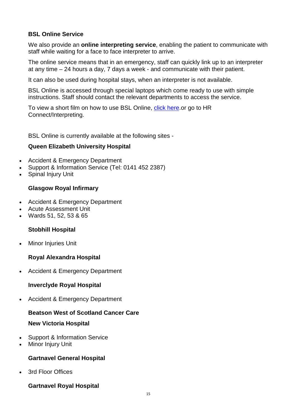#### **BSL Online Service**

We also provide an **online interpreting service**, enabling the patient to communicate with staff while waiting for a face to face interpreter to arrive.

The online service means that in an emergency, staff can quickly link up to an interpreter at any time – 24 hours a day, 7 days a week - and communicate with their patient.

It can also be used during hospital stays, when an interpreter is not available.

BSL Online is accessed through special laptops which come ready to use with simple instructions. Staff should contact the relevant departments to access the service.

To view a short film on how to use BSL Online, [click here.](https://www.youtube.com/watch?v=A5exXYYdaqw)or go to HR Connect/Interpreting.

BSL Online is currently available at the following sites -

#### **Queen Elizabeth University Hospital**

- Accident & Emergency Department
- Support & Information Service (Tel: 0141 452 2387)
- Spinal Injury Unit

#### **Glasgow Royal Infirmary**

- Accident & Emergency Department
- Acute Assessment Unit
- Wards 51, 52, 53 & 65

#### **Stobhill Hospital**

**Minor Injuries Unit** 

#### **Royal Alexandra Hospital**

• Accident & Emergency Department

#### **Inverclyde Royal Hospital**

• Accident & Emergency Department

#### **Beatson West of Scotland Cancer Care**

#### **New Victoria Hospital**

- Support & Information Service
- **Minor Injury Unit**

#### **Gartnavel General Hospital**

3rd Floor Offices

#### **Gartnavel Royal Hospital**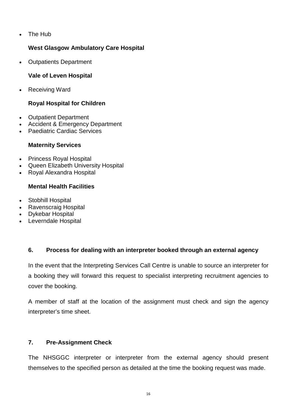• The Hub

#### **West Glasgow Ambulatory Care Hospital**

• Outpatients Department

#### **Vale of Leven Hospital**

• Receiving Ward

#### **Royal Hospital for Children**

- Outpatient Department
- Accident & Emergency Department
- Paediatric Cardiac Services

#### **Maternity Services**

- Princess Royal Hospital
- Queen Elizabeth University Hospital
- Royal Alexandra Hospital

#### **Mental Health Facilities**

- Stobhill Hospital
- Ravenscraig Hospital
- Dykebar Hospital
- Leverndale Hospital

#### **6. Process for dealing with an interpreter booked through an external agency**

In the event that the Interpreting Services Call Centre is unable to source an interpreter for a booking they will forward this request to specialist interpreting recruitment agencies to cover the booking.

A member of staff at the location of the assignment must check and sign the agency interpreter's time sheet.

#### **7. Pre-Assignment Check**

The NHSGGC interpreter or interpreter from the external agency should present themselves to the specified person as detailed at the time the booking request was made.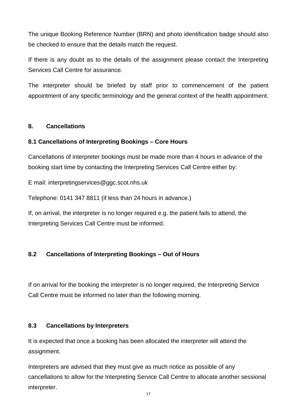The unique Booking Reference Number (BRN) and photo identification badge should also be checked to ensure that the details match the request.

If there is any doubt as to the details of the assignment please contact the Interpreting Services Call Centre for assurance.

The interpreter should be briefed by staff prior to commencement of the patient appointment of any specific terminology and the general context of the health appointment.

#### **8. Cancellations**

#### **8.1 Cancellations of Interpreting Bookings – Core Hours**

Cancellations of interpreter bookings must be made more than 4 hours in advance of the booking start time by contacting the Interpreting Services Call Centre either by:

E mail: interpretingservices@ggc.scot.nhs.uk

Telephone: 0141 347 8811 (if less than 24 hours in advance.)

If, on arrival, the interpreter is no longer required e.g. the patient fails to attend, the Interpreting Services Call Centre must be informed.

#### **8.2 Cancellations of Interpreting Bookings – Out of Hours**

If on arrival for the booking the interpreter is no longer required, the Interpreting Service Call Centre must be informed no later than the following morning.

#### **8.3 Cancellations by Interpreters**

It is expected that once a booking has been allocated the interpreter will attend the assignment.

Interpreters are advised that they must give as much notice as possible of any cancellations to allow for the Interpreting Service Call Centre to allocate another sessional interpreter.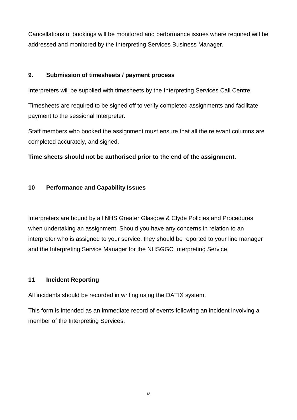Cancellations of bookings will be monitored and performance issues where required will be addressed and monitored by the Interpreting Services Business Manager.

#### **9. Submission of timesheets / payment process**

Interpreters will be supplied with timesheets by the Interpreting Services Call Centre.

Timesheets are required to be signed off to verify completed assignments and facilitate payment to the sessional Interpreter.

Staff members who booked the assignment must ensure that all the relevant columns are completed accurately, and signed.

#### **Time sheets should not be authorised prior to the end of the assignment.**

#### **10 Performance and Capability Issues**

Interpreters are bound by all NHS Greater Glasgow & Clyde Policies and Procedures when undertaking an assignment. Should you have any concerns in relation to an interpreter who is assigned to your service, they should be reported to your line manager and the Interpreting Service Manager for the NHSGGC Interpreting Service.

#### **11 Incident Reporting**

All incidents should be recorded in writing using the DATIX system.

This form is intended as an immediate record of events following an incident involving a member of the Interpreting Services.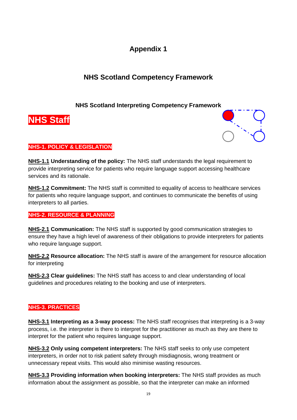## **NHS Scotland Competency Framework**

#### **NHS Scotland Interpreting Competency Framework**





#### **NHS-1. POLICY & LEGISLATION**

**NHS-1.1 Understanding of the policy:** The NHS staff understands the legal requirement to provide interpreting service for patients who require language support accessing healthcare services and its rationale.

**NHS-1.2 Commitment:** The NHS staff is committed to equality of access to healthcare services for patients who require language support, and continues to communicate the benefits of using interpreters to all parties.

#### **NHS-2. RESOURCE & PLANNING**

**NHS-2.1 Communication:** The NHS staff is supported by good communication strategies to ensure they have a high level of awareness of their obligations to provide interpreters for patients who require language support.

**NHS-2.2 Resource allocation:** The NHS staff is aware of the arrangement for resource allocation for interpreting

**NHS-2.3 Clear guidelines:** The NHS staff has access to and clear understanding of local guidelines and procedures relating to the booking and use of interpreters.

#### **NHS-3. PRACTICES**

**NHS-3.1 Interpreting as a 3-way process:** The NHS staff recognises that interpreting is a 3-way process, i.e. the interpreter is there to interpret for the practitioner as much as they are there to interpret for the patient who requires language support.

**NHS-3.2 Only using competent interpreters:** The NHS staff seeks to only use competent interpreters, in order not to risk patient safety through misdiagnosis, wrong treatment or unnecessary repeat visits. This would also minimise wasting resources.

**NHS-3.3 Providing information when booking interpreters:** The NHS staff provides as much information about the assignment as possible, so that the interpreter can make an informed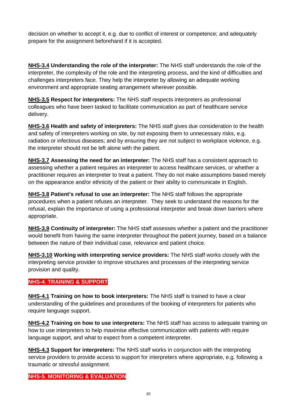decision on whether to accept it, e.g. due to conflict of interest or competence; and adequately prepare for the assignment beforehand if it is accepted.

**NHS-3.4 Understanding the role of the interpreter:** The NHS staff understands the role of the interpreter, the complexity of the role and the interpreting process, and the kind of difficulties and challenges interpreters face. They help the interpreter by allowing an adequate working environment and appropriate seating arrangement wherever possible.

**NHS-3.5 Respect for interpreters:** The NHS staff respects interpreters as professional colleagues who have been tasked to facilitate communication as part of healthcare service delivery.

**NHS-3.6 Health and safety of interpreters:** The NHS staff gives due consideration to the health and safety of interpreters working on site, by not exposing them to unnecessary risks, e.g. radiation or infectious diseases; and by ensuring they are not subject to workplace violence, e.g. the interpreter should not be left alone with the patient.

**NHS-3.7 Assessing the need for an interpreter:** The NHS staff has a consistent approach to assessing whether a patient requires an interpreter to access healthcare services, or whether a practitioner requires an interpreter to treat a patient. They do not make assumptions based merely on the appearance and/or ethnicity of the patient or their ability to communicate in English.

**NHS-3.8 Patient's refusal to use an interpreter:** The NHS staff follows the appropriate procedures when a patient refuses an interpreter. They seek to understand the reasons for the refusal, explain the importance of using a professional interpreter and break down barriers where appropriate.

**NHS-3.9 Continuity of interpreter:** The NHS staff assesses whether a patient and the practitioner would benefit from having the same interpreter throughout the patient journey, based on a balance between the nature of their individual case, relevance and patient choice.

**NHS-3.10 Working with interpreting service providers:** The NHS staff works closely with the interpreting service provider to improve structures and processes of the interpreting service provision and quality.

#### **NHS-4. TRAINING & SUPPORT**

**NHS-4.1 Training on how to book interpreters:** The NHS staff is trained to have a clear understanding of the guidelines and procedures of the booking of interpreters for patients who require language support.

**NHS-4.2 Training on how to use interpreters:** The NHS staff has access to adequate training on how to use interpreters to help maximise effective communication with patients with require language support, and what to expect from a competent interpreter.

**NHS-4.3 Support for interpreters:** The NHS staff works in conjunction with the interpreting service providers to provide access to support for interpreters where appropriate, e.g. following a traumatic or stressful assignment.

**NHS-5. MONITORING & EVALUATION**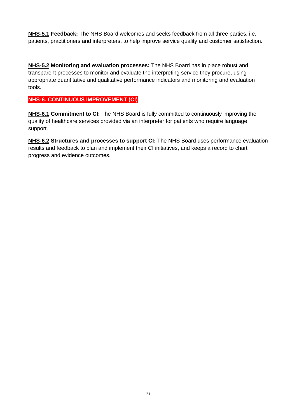**NHS-5.1 Feedback:** The NHS Board welcomes and seeks feedback from all three parties, i.e. patients, practitioners and interpreters, to help improve service quality and customer satisfaction.

**NHS-5.2 Monitoring and evaluation processes:** The NHS Board has in place robust and transparent processes to monitor and evaluate the interpreting service they procure, using appropriate quantitative and qualitative performance indicators and monitoring and evaluation tools.

#### **NHS-6. CONTINUOUS IMPROVEMENT (CI)**

**NHS-6.1 Commitment to CI:** The NHS Board is fully committed to continuously improving the quality of healthcare services provided via an interpreter for patients who require language support.

**NHS-6.2 Structures and processes to support CI:** The NHS Board uses performance evaluation results and feedback to plan and implement their CI initiatives, and keeps a record to chart progress and evidence outcomes.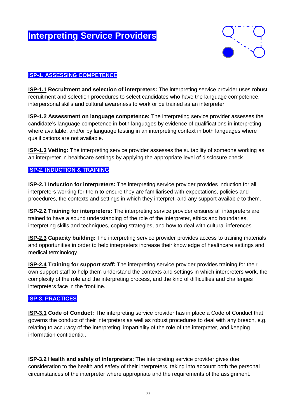## **Interpreting Service Providers**



#### **ISP-1. ASSESSING COMPETENCE**

**ISP-1.1 Recruitment and selection of interpreters:** The interpreting service provider uses robust recruitment and selection procedures to select candidates who have the language competence, interpersonal skills and cultural awareness to work or be trained as an interpreter.

**ISP-1.2 Assessment on language competence:** The interpreting service provider assesses the candidate's language competence in both languages by evidence of qualifications in interpreting where available, and/or by language testing in an interpreting context in both languages where qualifications are not available.

**ISP-1.3 Vetting:** The interpreting service provider assesses the suitability of someone working as an interpreter in healthcare settings by applying the appropriate level of disclosure check.

#### **ISP-2. INDUCTION & TRAINING**

**ISP-2.1 Induction for interpreters:** The interpreting service provider provides induction for all interpreters working for them to ensure they are familiarised with expectations, policies and procedures, the contexts and settings in which they interpret, and any support available to them.

**ISP-2.2 Training for interpreters:** The interpreting service provider ensures all interpreters are trained to have a sound understanding of the role of the interpreter, ethics and boundaries, interpreting skills and techniques, coping strategies, and how to deal with cultural inferences.

**ISP-2.3 Capacity building:** The interpreting service provider provides access to training materials and opportunities in order to help interpreters increase their knowledge of healthcare settings and medical terminology.

**ISP-2.4 Training for support staff:** The interpreting service provider provides training for their own support staff to help them understand the contexts and settings in which interpreters work, the complexity of the role and the interpreting process, and the kind of difficulties and challenges interpreters face in the frontline.

#### **ISP-3. PRACTICES**

**ISP-3.1 Code of Conduct:** The interpreting service provider has in place a Code of Conduct that governs the conduct of their interpreters as well as robust procedures to deal with any breach, e.g. relating to accuracy of the interpreting, impartiality of the role of the interpreter, and keeping information confidential.

**ISP-3.2 Health and safety of interpreters:** The interpreting service provider gives due consideration to the health and safety of their interpreters, taking into account both the personal circumstances of the interpreter where appropriate and the requirements of the assignment.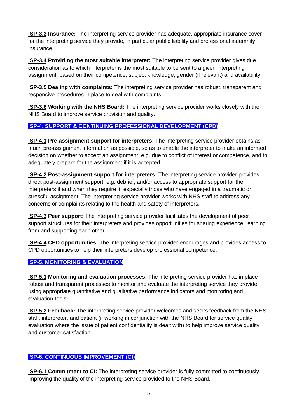**ISP-3.3 Insurance:** The interpreting service provider has adequate, appropriate insurance cover for the interpreting service they provide, in particular public liability and professional indemnity insurance.

**ISP-3.4 Providing the most suitable interpreter:** The interpreting service provider gives due consideration as to which interpreter is the most suitable to be sent to a given interpreting assignment, based on their competence, subject knowledge, gender (if relevant) and availability.

**ISP-3.5 Dealing with complaints:** The interpreting service provider has robust, transparent and responsive procedures in place to deal with complaints.

**ISP-3.6 Working with the NHS Board:** The interpreting service provider works closely with the NHS Board to improve service provision and quality.

#### **ISP-4. SUPPORT & CONTINUING PROFESSIONAL DEVELOPMENT (CPD))**

**ISP-4.1 Pre-assignment support for interpreters:** The interpreting service provider obtains as much pre-assignment information as possible, so as to enable the interpreter to make an informed decision on whether to accept an assignment, e.g. due to conflict of interest or competence, and to adequately prepare for the assignment if it is accepted.

**ISP-4.2 Post-assignment support for interpreters:** The interpreting service provider provides direct post-assignment support, e.g. debrief, and/or access to appropriate support for their interpreters if and when they require it, especially those who have engaged in a traumatic or stressful assignment. The interpreting service provider works with NHS staff to address any concerns or complaints relating to the health and safety of interpreters.

**ISP-4.3 Peer support:** The interpreting service provider facilitates the development of peer support structures for their interpreters and provides opportunities for sharing experience, learning from and supporting each other.

**ISP-4.4 CPD opportunities:** The interpreting service provider encourages and provides access to CPD opportunities to help their interpreters develop professional competence.

#### **ISP-5. MONITORING & EVALUATION**

**ISP-5.1 Monitoring and evaluation processes:** The interpreting service provider has in place robust and transparent processes to monitor and evaluate the interpreting service they provide, using appropriate quantitative and qualitative performance indicators and monitoring and evaluation tools.

**ISP-5.2 Feedback:** The interpreting service provider welcomes and seeks feedback from the NHS staff, interpreter, and patient (if working in conjunction with the NHS Board for service quality evaluation where the issue of patient confidentiality is dealt with) to help improve service quality and customer satisfaction.

#### **ISP-6. CONTINUOUS IMPROVEMENT (CI)**

**ISP-6.1 Commitment to CI:** The interpreting service provider is fully committed to continuously improving the quality of the interpreting service provided to the NHS Board.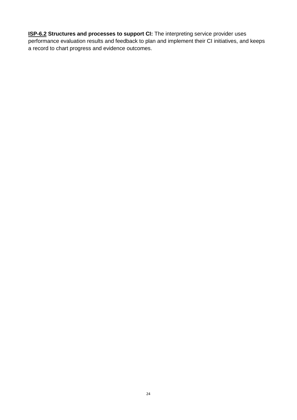**ISP-6.2** Structures and processes to support CI: The interpreting service provider uses performance evaluation results and feedback to plan and implement their CI initiatives, and keeps a record to chart progress and evidence outcomes.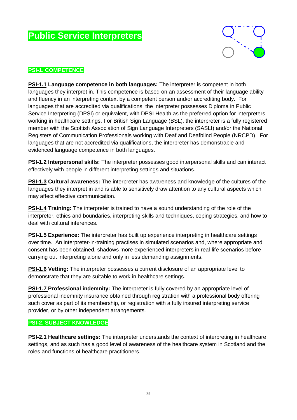## **Public Service Interpreters**



#### **PSI-1. COMPETENCE**

**PSI-1.1 Language competence in both languages:** The interpreter is competent in both languages they interpret in. This competence is based on an assessment of their language ability and fluency in an interpreting context by a competent person and/or accrediting body. For languages that are accredited via qualifications, the interpreter possesses Diploma in Public Service Interpreting (DPSI) or equivalent, with DPSI Health as the preferred option for interpreters working in healthcare settings. For British Sign Language (BSL), the interpreter is a fully registered member with the Scottish Association of Sign Language Interpreters (SASLI) and/or the National Registers of Communication Professionals working with Deaf and Deafblind People (NRCPD). For languages that are not accredited via qualifications, the interpreter has demonstrable and evidenced language competence in both languages.

**PSI-1.2 Interpersonal skills:** The interpreter possesses good interpersonal skills and can interact effectively with people in different interpreting settings and situations.

**PSI-1.3 Cultural awareness:** The interpreter has awareness and knowledge of the cultures of the languages they interpret in and is able to sensitively draw attention to any cultural aspects which may affect effective communication.

**PSI-1.4 Training:** The interpreter is trained to have a sound understanding of the role of the interpreter, ethics and boundaries, interpreting skills and techniques, coping strategies, and how to deal with cultural inferences.

**PSI-1.5 Experience:** The interpreter has built up experience interpreting in healthcare settings over time. An interpreter-in-training practises in simulated scenarios and, where appropriate and consent has been obtained, shadows more experienced interpreters in real-life scenarios before carrying out interpreting alone and only in less demanding assignments.

**PSI-1.6 Vetting:** The interpreter possesses a current disclosure of an appropriate level to demonstrate that they are suitable to work in healthcare settings.

**PSI-1.7 Professional indemnity:** The interpreter is fully covered by an appropriate level of professional indemnity insurance obtained through registration with a professional body offering such cover as part of its membership, or registration with a fully insured interpreting service provider, or by other independent arrangements.

#### **PSI-2. SUBJECT KNOWLEDGE**

**PSI-2.1 Healthcare settings:** The interpreter understands the context of interpreting in healthcare settings, and as such has a good level of awareness of the healthcare system in Scotland and the roles and functions of healthcare practitioners.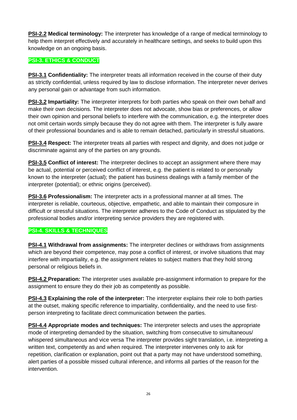**PSI-2.2 Medical terminology:** The interpreter has knowledge of a range of medical terminology to help them interpret effectively and accurately in healthcare settings, and seeks to build upon this knowledge on an ongoing basis.

#### **PSI-3. ETHICS & CONDUCT**

**PSI-3.1 Confidentiality:** The interpreter treats all information received in the course of their duty as strictly confidential, unless required by law to disclose information. The interpreter never derives any personal gain or advantage from such information.

**PSI-3.2 Impartiality:** The interpreter interprets for both parties who speak on their own behalf and make their own decisions. The interpreter does not advocate, show bias or preferences, or allow their own opinion and personal beliefs to interfere with the communication, e.g. the interpreter does not omit certain words simply because they do not agree with them. The interpreter is fully aware of their professional boundaries and is able to remain detached, particularly in stressful situations.

**PSI-3.4 Respect:** The interpreter treats all parties with respect and dignity, and does not judge or discriminate against any of the parties on any grounds.

**PSI-3.5 Conflict of interest:** The interpreter declines to accept an assignment where there may be actual, potential or perceived conflict of interest, e.g. the patient is related to or personally known to the interpreter (actual); the patient has business dealings with a family member of the interpreter (potential); or ethnic origins (perceived).

**PSI-3.6 Professionalism:** The interpreter acts in a professional manner at all times. The interpreter is reliable, courteous, objective, empathetic, and able to maintain their composure in difficult or stressful situations. The interpreter adheres to the Code of Conduct as stipulated by the professional bodies and/or interpreting service providers they are registered with.

#### **PSI-4. SKILLS & TECHNIQUES**

**PSI-4.1 Withdrawal from assignments:** The interpreter declines or withdraws from assignments which are beyond their competence, may pose a conflict of interest, or involve situations that may interfere with impartiality, e.g. the assignment relates to subject matters that they hold strong personal or religious beliefs in.

**PSI-4.2 Preparation:** The interpreter uses available pre-assignment information to prepare for the assignment to ensure they do their job as competently as possible.

**PSI-4.3 Explaining the role of the interpreter:** The interpreter explains their role to both parties at the outset, making specific reference to impartiality, confidentiality, and the need to use firstperson interpreting to facilitate direct communication between the parties.

**PSI-4.4 Appropriate modes and techniques:** The interpreter selects and uses the appropriate mode of interpreting demanded by the situation, switching from consecutive to simultaneous/ whispered simultaneous and vice versa The interpreter provides sight translation, i.e. interpreting a written text, competently as and when required. The interpreter intervenes only to ask for repetition, clarification or explanation, point out that a party may not have understood something, alert parties of a possible missed cultural inference, and informs all parties of the reason for the intervention.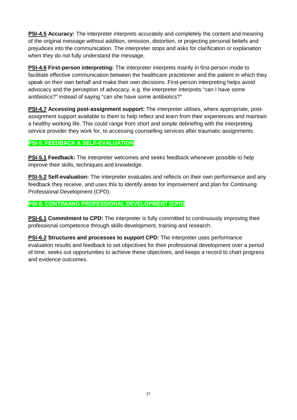**PSI-4.5 Accuracy:** The interpreter interprets accurately and completely the content and meaning of the original message without addition, omission, distortion, or projecting personal beliefs and prejudices into the communication. The interpreter stops and asks for clarification or explanation when they do not fully understand the message.

**PSI-4.6 First-person interpreting:** The interpreter interprets mainly in first-person mode to facilitate effective communication between the healthcare practitioner and the patient in which they speak on their own behalf and make their own decisions. First-person interpreting helps avoid advocacy and the perception of advocacy, e.g. the interpreter interprets "can I have some antibiotics?" instead of saying "can she have some antibiotics?"

**PSI-4.7 Accessing post-assignment support:** The interpreter utilises, where appropriate, postassignment support available to them to help reflect and learn from their experiences and maintain a healthy working life. This could range from short and simple debriefing with the interpreting service provider they work for, to accessing counselling services after traumatic assignments.

#### **PSI-5. FEEDBACK & SELF-EVALUATION**

**PSI-5.1 Feedback:** The interpreter welcomes and seeks feedback whenever possible to help improve their skills, techniques and knowledge.

**PSI-5.2 Self-evaluation:** The interpreter evaluates and reflects on their own performance and any feedback they receive, and uses this to identify areas for improvement and plan for Continuing Professional Development (CPD).

#### **PSI-6. CONTINUING PROFESSIONAL DEVELOPMENT (CPD)**

**PSI-6.1 Commitment to CPD:** The interpreter is fully committed to continuously improving their professional competence through skills development, training and research.

**PSI-6.2 Structures and processes to support CPD:** The interpreter uses performance evaluation results and feedback to set objectives for their professional development over a period of time, seeks out opportunities to achieve these objectives, and keeps a record to chart progress and evidence outcomes.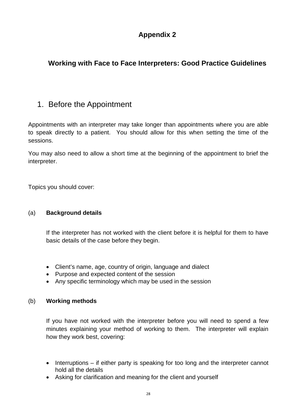## **Working with Face to Face Interpreters: Good Practice Guidelines**

## 1. Before the Appointment

Appointments with an interpreter may take longer than appointments where you are able to speak directly to a patient. You should allow for this when setting the time of the sessions.

You may also need to allow a short time at the beginning of the appointment to brief the interpreter.

Topics you should cover:

#### (a) **Background details**

If the interpreter has not worked with the client before it is helpful for them to have basic details of the case before they begin.

- Client's name, age, country of origin, language and dialect
- Purpose and expected content of the session
- Any specific terminology which may be used in the session

#### (b) **Working methods**

If you have not worked with the interpreter before you will need to spend a few minutes explaining your method of working to them. The interpreter will explain how they work best, covering:

- Interruptions if either party is speaking for too long and the interpreter cannot hold all the details
- Asking for clarification and meaning for the client and yourself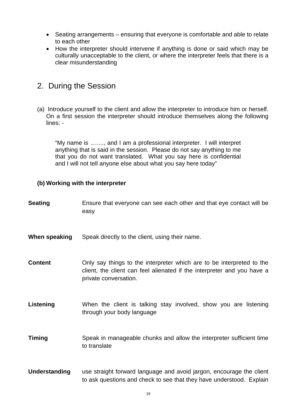- Seating arrangements ensuring that everyone is comfortable and able to relate to each other
- How the interpreter should intervene if anything is done or said which may be culturally unacceptable to the client, or where the interpreter feels that there is a clear misunderstanding

## 2. During the Session

(a) Introduce yourself to the client and allow the interpreter to introduce him or herself. On a first session the interpreter should introduce themselves along the following lines: -

"My name is ……., and I am a professional interpreter. I will interpret anything that is said in the session. Please do not say anything to me that you do not want translated. What you say here is confidential and I will not tell anyone else about what you say here today"

#### **(b) Working with the interpreter**

| <b>Seating</b>       | Ensure that everyone can see each other and that eye contact will be<br>easy                                                                                              |
|----------------------|---------------------------------------------------------------------------------------------------------------------------------------------------------------------------|
| When speaking        | Speak directly to the client, using their name.                                                                                                                           |
| <b>Content</b>       | Only say things to the interpreter which are to be interpreted to the<br>client, the client can feel alienated if the interpreter and you have a<br>private conversation. |
| Listening            | When the client is talking stay involved, show you are listening<br>through your body language                                                                            |
| <b>Timing</b>        | Speak in manageable chunks and allow the interpreter sufficient time<br>to translate                                                                                      |
| <b>Understanding</b> | use straight forward language and avoid jargon, encourage the client<br>to ask questions and check to see that they have understood. Explain                              |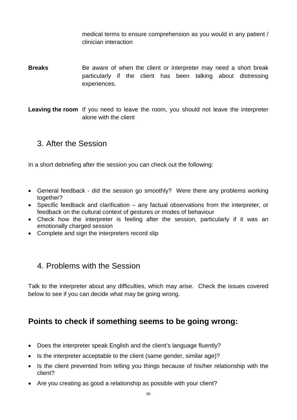medical terms to ensure comprehension as you would in any patient / clinician interaction

- **Breaks** Be aware of when the client or interpreter may need a short break particularly if the client has been talking about distressing experiences.
- **Leaving the room** If you need to leave the room, you should not leave the interpreter alone with the client

## 3. After the Session

In a short debriefing after the session you can check out the following:

- General feedback did the session go smoothly? Were there any problems working together?
- Specific feedback and clarification any factual observations from the interpreter, or feedback on the cultural context of gestures or modes of behaviour
- Check how the interpreter is feeling after the session, particularly if it was an emotionally charged session
- Complete and sign the interpreters record slip

## 4. Problems with the Session

Talk to the interpreter about any difficulties, which may arise. Check the issues covered below to see if you can decide what may be going wrong.

## **Points to check if something seems to be going wrong:**

- Does the interpreter speak English and the client's language fluently?
- Is the interpreter acceptable to the client (same gender, similar age)?
- Is the client prevented from telling you things because of his/her relationship with the client?
- Are you creating as good a relationship as possible with your client?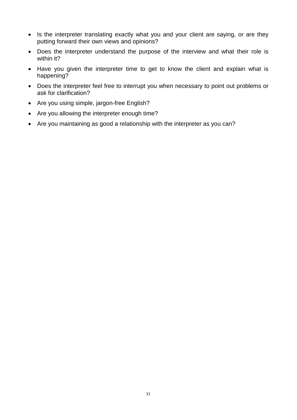- Is the interpreter translating exactly what you and your client are saying, or are they putting forward their own views and opinions?
- Does the interpreter understand the purpose of the interview and what their role is within it?
- Have you given the interpreter time to get to know the client and explain what is happening?
- Does the interpreter feel free to interrupt you when necessary to point out problems or ask for clarification?
- Are you using simple, jargon-free English?
- Are you allowing the interpreter enough time?
- Are you maintaining as good a relationship with the interpreter as you can?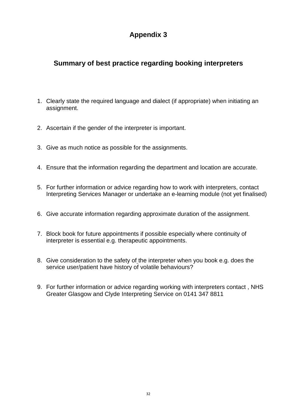## **Summary of best practice regarding booking interpreters**

- 1. Clearly state the required language and dialect (if appropriate) when initiating an assignment.
- 2. Ascertain if the gender of the interpreter is important.
- 3. Give as much notice as possible for the assignments.
- 4. Ensure that the information regarding the department and location are accurate.
- 5. For further information or advice regarding how to work with interpreters, contact Interpreting Services Manager or undertake an e-learning module (not yet finalised)
- 6. Give accurate information regarding approximate duration of the assignment.
- 7. Block book for future appointments if possible especially where continuity of interpreter is essential e.g. therapeutic appointments.
- 8. Give consideration to the safety of the interpreter when you book e.g. does the service user/patient have history of volatile behaviours?
- 9. For further information or advice regarding working with interpreters contact , NHS Greater Glasgow and Clyde Interpreting Service on 0141 347 8811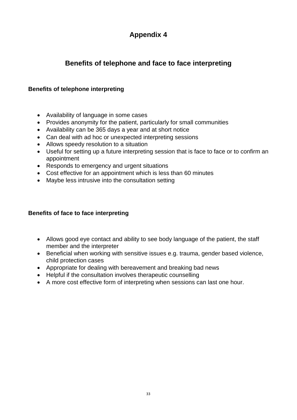## **Benefits of telephone and face to face interpreting**

#### **Benefits of telephone interpreting**

- Availability of language in some cases
- Provides anonymity for the patient, particularly for small communities
- Availability can be 365 days a year and at short notice
- Can deal with ad hoc or unexpected interpreting sessions
- Allows speedy resolution to a situation
- Useful for setting up a future interpreting session that is face to face or to confirm an appointment
- Responds to emergency and urgent situations
- Cost effective for an appointment which is less than 60 minutes
- Maybe less intrusive into the consultation setting

#### **Benefits of face to face interpreting**

- Allows good eye contact and ability to see body language of the patient, the staff member and the interpreter
- Beneficial when working with sensitive issues e.g. trauma, gender based violence, child protection cases
- Appropriate for dealing with bereavement and breaking bad news
- Helpful if the consultation involves therapeutic counselling
- A more cost effective form of interpreting when sessions can last one hour.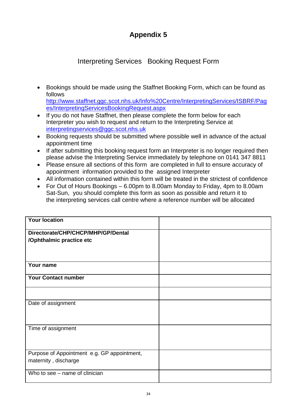## Interpreting Services Booking Request Form

• Bookings should be made using the Staffnet Booking Form, which can be found as follows [http://www.staffnet.ggc.scot.nhs.uk/Info%20Centre/InterpretingServices/ISBRF/Pag](http://www.staffnet.ggc.scot.nhs.uk/Info%20Centre/InterpretingServices/ISBRF/Pages/InterpretingServicesBookingRequest.aspx)

[es/InterpretingServicesBookingRequest.aspx](http://www.staffnet.ggc.scot.nhs.uk/Info%20Centre/InterpretingServices/ISBRF/Pages/InterpretingServicesBookingRequest.aspx)

- If you do not have Staffnet, then please complete the form below for each Interpreter you wish to request and return to the Interpreting Service at [interpretingservices@ggc.scot.nhs.uk](mailto:interpretingservices@ggc.scot.nhs.uk)
- Booking requests should be submitted where possible well in advance of the actual appointment time
- If after submitting this booking request form an Interpreter is no longer required then please advise the Interpreting Service immediately by telephone on 0141 347 8811
- Please ensure all sections of this form are completed in full to ensure accuracy of appointment information provided to the assigned Interpreter
- All information contained within this form will be treated in the strictest of confidence
- For Out of Hours Bookings 6.00pm to 8.00am Monday to Friday, 4pm to 8.00am Sat-Sun, you should complete this form as soon as possible and return it to the interpreting services call centre where a reference number will be allocated

| <b>Your location</b>                        |  |
|---------------------------------------------|--|
| Directorate/CHP/CHCP/MHP/GP/Dental          |  |
| /Ophthalmic practice etc                    |  |
|                                             |  |
|                                             |  |
| Your name                                   |  |
| <b>Your Contact number</b>                  |  |
|                                             |  |
| Date of assignment                          |  |
|                                             |  |
|                                             |  |
| Time of assignment                          |  |
|                                             |  |
|                                             |  |
| Purpose of Appointment e.g. GP appointment, |  |
| maternity, discharge                        |  |
| Who to see – name of clinician              |  |
|                                             |  |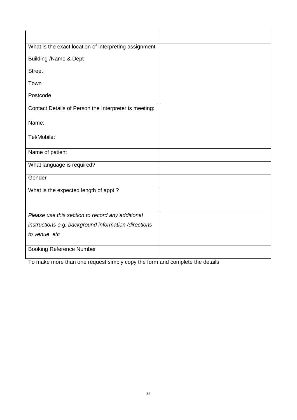| What is the exact location of interpreting assignment |  |
|-------------------------------------------------------|--|
| <b>Building /Name &amp; Dept</b>                      |  |
| <b>Street</b>                                         |  |
| Town                                                  |  |
| Postcode                                              |  |
| Contact Details of Person the Interpreter is meeting: |  |
| Name:                                                 |  |
| Tel/Mobile:                                           |  |
| Name of patient                                       |  |
| What language is required?                            |  |
| Gender                                                |  |
| What is the expected length of appt.?                 |  |
| Please use this section to record any additional      |  |
| instructions e.g. background information/directions   |  |
| to venue etc                                          |  |
| <b>Booking Reference Number</b>                       |  |

To make more than one request simply copy the form and complete the details